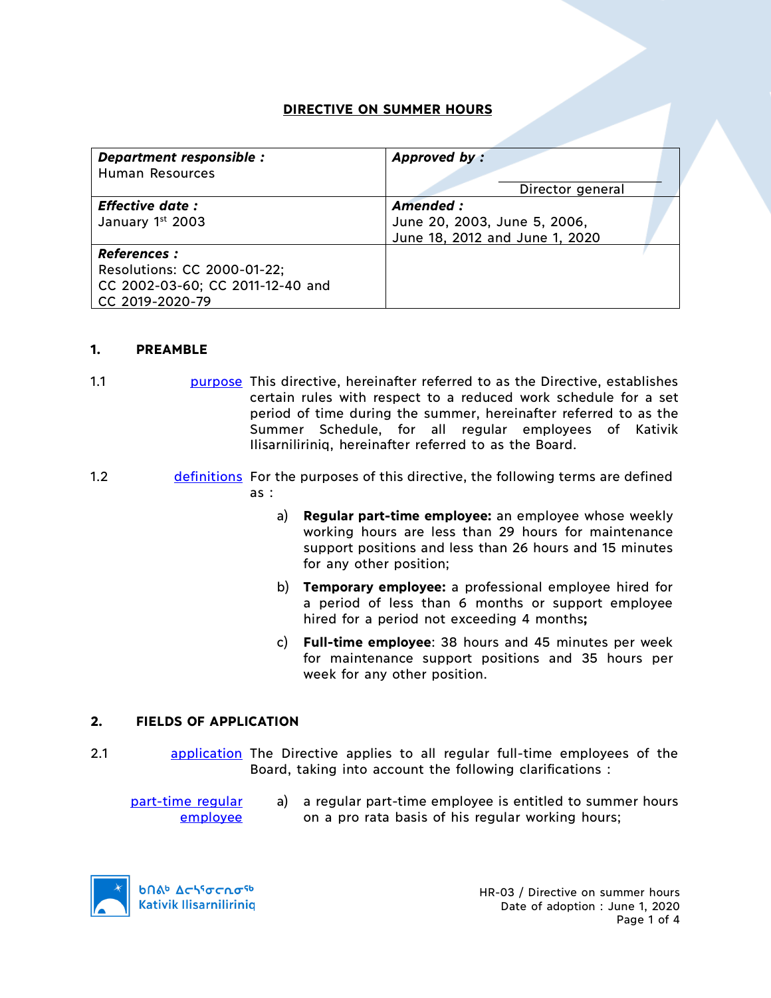# **DIRECTIVE ON SUMMER HOURS**

| Department responsible :         | Approved by:                   |  |
|----------------------------------|--------------------------------|--|
| Human Resources                  |                                |  |
|                                  | Director general               |  |
| <b>Effective date:</b>           | Amended:                       |  |
| January 1st 2003                 | June 20, 2003, June 5, 2006,   |  |
|                                  | June 18, 2012 and June 1, 2020 |  |
| <b>References :</b>              |                                |  |
| Resolutions: CC 2000-01-22;      |                                |  |
| CC 2002-03-60; CC 2011-12-40 and |                                |  |
| CC 2019-2020-79                  |                                |  |

### **1. PREAMBLE**

- 1.1 **purpose** This directive, hereinafter referred to as the Directive, establishes certain rules with respect to a reduced work schedule for a set period of time during the summer, hereinafter referred to as the Summer Schedule, for all regular employees of Kativik Ilisarniliriniq, hereinafter referred to as the Board.
- 1.2 definitions For the purposes of this directive, the following terms are defined as :
	- a) **Regular part-time employee:** an employee whose weekly working hours are less than 29 hours for maintenance support positions and less than 26 hours and 15 minutes for any other position;
	- b) **Temporary employee:** a professional employee hired for a period of less than 6 months or support employee hired for a period not exceeding 4 months**;**
	- c) **Full-time employee**: 38 hours and 45 minutes per week for maintenance support positions and 35 hours per week for any other position.

### **2. FIELDS OF APPLICATION**

- 2.1 application The Directive applies to all regular full-time employees of the Board, taking into account the following clarifications :
	- part-time regular employee a) a regular part-time employee is entitled to summer hours on a pro rata basis of his regular working hours;

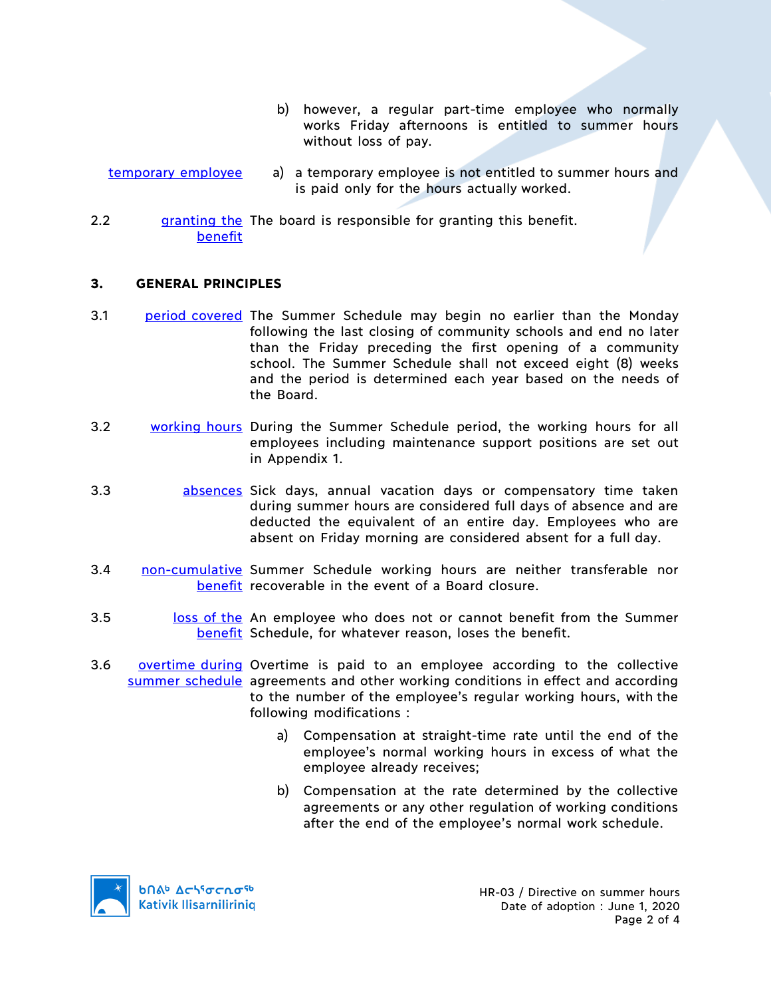- b) however, a regular part-time employee who normally works Friday afternoons is entitled to summer hours without loss of pay.
- temporary employee a) a temporary employee is not entitled to summer hours and is paid only for the hours actually worked.
- 2.2 **granting the The board is responsible for granting this benefit.** benefit

## **3. GENERAL PRINCIPLES**

- 3.1 period covered The Summer Schedule may begin no earlier than the Monday following the last closing of community schools and end no later than the Friday preceding the first opening of a community school. The Summer Schedule shall not exceed eight (8) weeks and the period is determined each year based on the needs of the Board.
- 3.2 working hours During the Summer Schedule period, the working hours for all employees including maintenance support positions are set out in Appendix 1.
- 3.3 absences Sick days, annual vacation days or compensatory time taken during summer hours are considered full days of absence and are deducted the equivalent of an entire day. Employees who are absent on Friday morning are considered absent for a full day.
- 3.4 **non-cumulative Summer Schedule working hours are neither transferable nor** benefit recoverable in the event of a Board closure.
- 3.5 loss of the An employee who does not or cannot benefit from the Summer benefit Schedule, for whatever reason, loses the benefit.
- 3.6 **overtime during Overtime is paid to an employee according to the collective** summer schedule agreements and other working conditions in effect and according to the number of the employee's regular working hours, with the following modifications :
	- a) Compensation at straight-time rate until the end of the employee's normal working hours in excess of what the employee already receives;
	- b) Compensation at the rate determined by the collective agreements or any other regulation of working conditions after the end of the employee's normal work schedule.

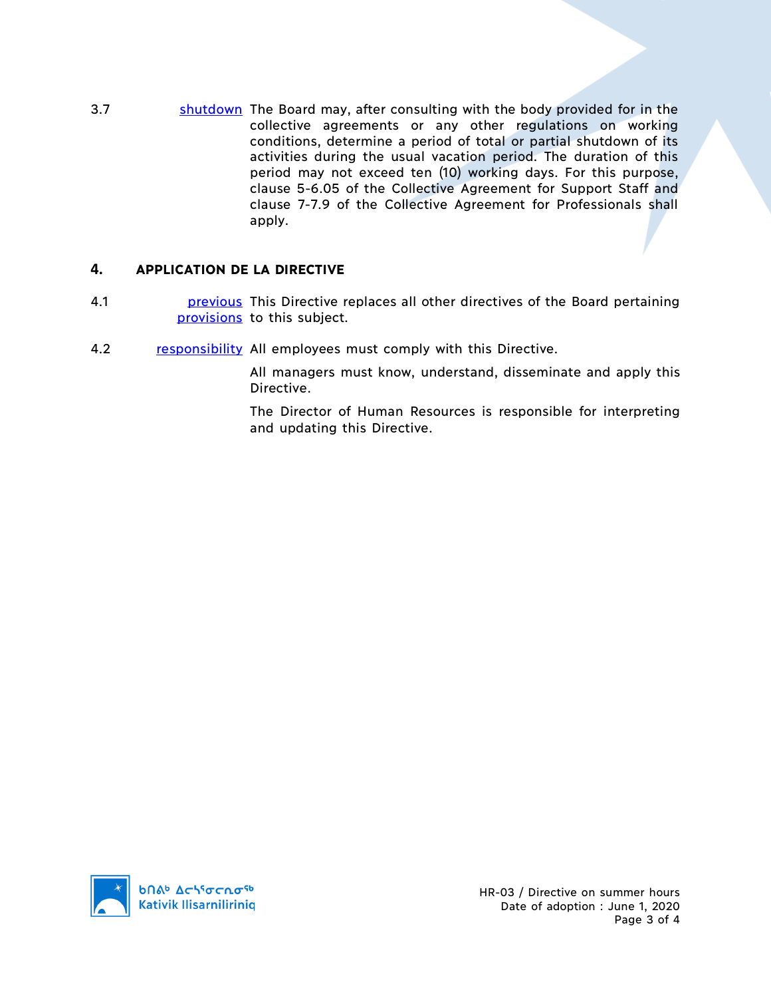3.7 shutdown The Board may, after consulting with the body provided for in the collective agreements or any other regulations on working conditions, determine a period of total or partial shutdown of its activities during the usual vacation period. The duration of this period may not exceed ten (10) working days. For this purpose, clause 5-6.05 of the Collective Agreement for Support Staff and clause 7-7.9 of the Collective Agreement for Professionals shall apply.

# **4. APPLICATION DE LA DIRECTIVE**

- 4.1 **previous** This Directive replaces all other directives of the Board pertaining provisions to this subject.
- 4.2 responsibility All employees must comply with this Directive.

All managers must know, understand, disseminate and apply this Directive.

The Director of Human Resources is responsible for interpreting and updating this Directive.